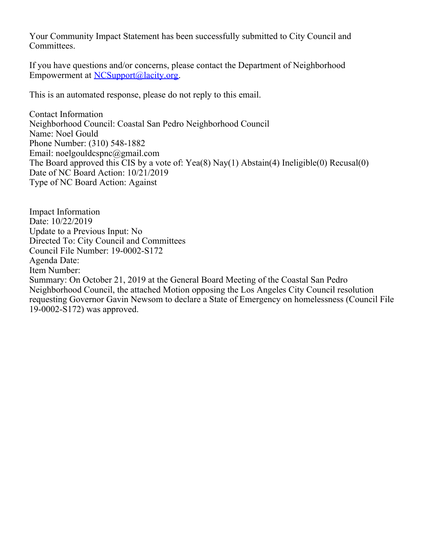Your Community Impact Statement has been successfully submitted to City Council and Committees.

If you have questions and/or concerns, please contact the Department of Neighborhood Empowerment at [NCSupport@lacity.org](mailto:NCSupport@lacity.org).

This is an automated response, please do not reply to this email.

Contact Information Neighborhood Council: Coastal San Pedro Neighborhood Council Name: Noel Gould Phone Number: (310) 548-1882 Email: noelgouldcspnc@gmail.com The Board approved this CIS by a vote of: Yea(8) Nay(1) Abstain(4) Ineligible(0) Recusal(0) Date of NC Board Action: 10/21/2019 Type of NC Board Action: Against

Impact Information Date: 10/22/2019 Update to a Previous Input: No Directed To: City Council and Committees Council File Number: 19-0002-S172 Agenda Date: Item Number: Summary: On October 21, 2019 at the General Board Meeting of the Coastal San Pedro Neighborhood Council, the attached Motion opposing the Los Angeles City Council resolution requesting Governor Gavin Newsom to declare a State of Emergency on homelessness (Council File 19-0002-S172) was approved.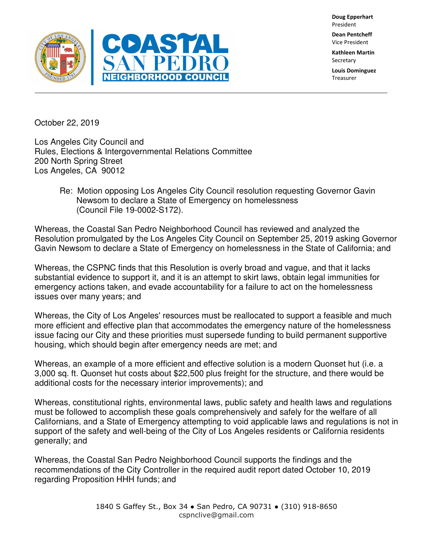**Doug Epperhart** President

**Dean Pentcheff** Vice President

**Kathleen Martin** Secretary

**Louis Dominguez** Treasurer



October 22, 2019

Los Angeles City Council and Rules, Elections & Intergovernmental Relations Committee 200 North Spring Street Los Angeles, CA 90012

> Re: Motion opposing Los Angeles City Council resolution requesting Governor Gavin Newsom to declare a State of Emergency on homelessness (Council File 19-0002-S172).

Whereas, the Coastal San Pedro Neighborhood Council has reviewed and analyzed the Resolution promulgated by the Los Angeles City Council on September 25, 2019 asking Governor Gavin Newsom to declare a State of Emergency on homelessness in the State of California; and

Whereas, the CSPNC finds that this Resolution is overly broad and vague, and that it lacks substantial evidence to support it, and it is an attempt to skirt laws, obtain legal immunities for emergency actions taken, and evade accountability for a failure to act on the homelessness issues over many years; and

Whereas, the City of Los Angeles' resources must be reallocated to support a feasible and much more efficient and effective plan that accommodates the emergency nature of the homelessness issue facing our City and these priorities must supersede funding to build permanent supportive housing, which should begin after emergency needs are met; and

Whereas, an example of a more efficient and effective solution is a modern Quonset hut (i.e. a 3,000 sq. ft. Quonset hut costs about \$22,500 plus freight for the structure, and there would be additional costs for the necessary interior improvements); and

Whereas, constitutional rights, environmental laws, public safety and health laws and regulations must be followed to accomplish these goals comprehensively and safely for the welfare of all Californians, and a State of Emergency attempting to void applicable laws and regulations is not in support of the safety and well-being of the City of Los Angeles residents or California residents generally; and

Whereas, the Coastal San Pedro Neighborhood Council supports the findings and the recommendations of the City Controller in the required audit report dated October 10, 2019 regarding Proposition HHH funds; and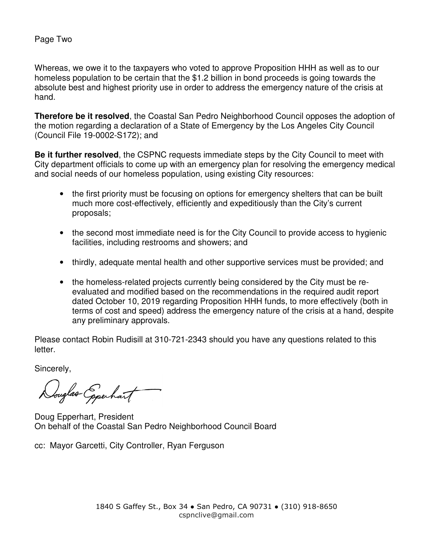Whereas, we owe it to the taxpayers who voted to approve Proposition HHH as well as to our homeless population to be certain that the \$1.2 billion in bond proceeds is going towards the absolute best and highest priority use in order to address the emergency nature of the crisis at hand.

**Therefore be it resolved**, the Coastal San Pedro Neighborhood Council opposes the adoption of the motion regarding a declaration of a State of Emergency by the Los Angeles City Council (Council File 19-0002-S172); and

**Be it further resolved**, the CSPNC requests immediate steps by the City Council to meet with City department officials to come up with an emergency plan for resolving the emergency medical and social needs of our homeless population, using existing City resources:

- the first priority must be focusing on options for emergency shelters that can be built much more cost-effectively, efficiently and expeditiously than the City's current proposals;
- the second most immediate need is for the City Council to provide access to hygienic facilities, including restrooms and showers; and
- thirdly, adequate mental health and other supportive services must be provided; and
- the homeless-related projects currently being considered by the City must be reevaluated and modified based on the recommendations in the required audit report dated October 10, 2019 regarding Proposition HHH funds, to more effectively (both in terms of cost and speed) address the emergency nature of the crisis at a hand, despite any preliminary approvals.

Please contact Robin Rudisill at 310-721-2343 should you have any questions related to this letter.

Sincerely,

Douglas Esperhart

Doug Epperhart, President On behalf of the Coastal San Pedro Neighborhood Council Board

cc: Mayor Garcetti, City Controller, Ryan Ferguson